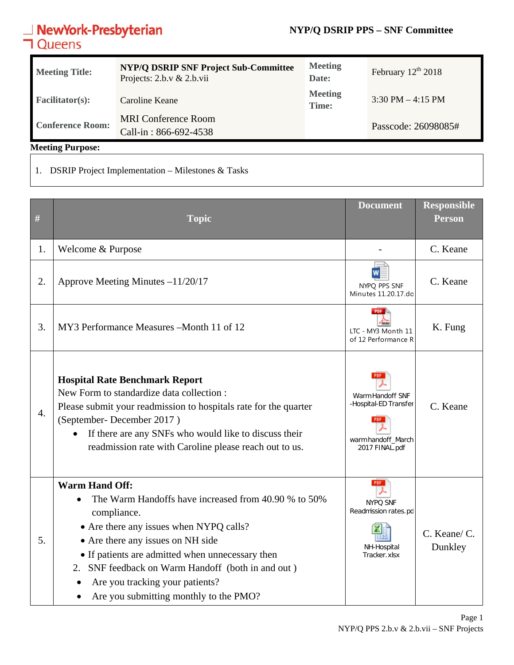### **NYP/Q DSRIP PPS – SNF Committee**

## **NewYork-Presbyterian**<br>**コ**Queens

| <b>Meeting Title:</b>   | <b>NYP/Q DSRIP SNF Project Sub-Committee</b><br>Projects: $2.b.v & 2.b.vi$ | <b>Meeting</b><br>Date: | February $12th 2018$ |
|-------------------------|----------------------------------------------------------------------------|-------------------------|----------------------|
| <b>Facilitator(s):</b>  | Caroline Keane                                                             | <b>Meeting</b><br>Time: | $3:30$ PM $-4:15$ PM |
| <b>Conference Room:</b> | <b>MRI Conference Room</b>                                                 |                         | Passcode: 26098085#  |
|                         | Call-in: 866-692-4538                                                      |                         |                      |

**Meeting Purpose:** 

1. DSRIP Project Implementation – Milestones & Tasks

| #  | <b>Topic</b>                                                                                                                                                                                                                                                                                                                                                       | <b>Document</b>                                                                   | <b>Responsible</b><br><b>Person</b> |
|----|--------------------------------------------------------------------------------------------------------------------------------------------------------------------------------------------------------------------------------------------------------------------------------------------------------------------------------------------------------------------|-----------------------------------------------------------------------------------|-------------------------------------|
| 1. | Welcome & Purpose                                                                                                                                                                                                                                                                                                                                                  |                                                                                   | C. Keane                            |
| 2. | Approve Meeting Minutes $-11/20/17$                                                                                                                                                                                                                                                                                                                                | NYPQ PPS SNF<br>Minutes 11.20.17.do                                               | C. Keane                            |
| 3. | MY3 Performance Measures - Month 11 of 12                                                                                                                                                                                                                                                                                                                          | PDF I<br>LTC - MY3 Month 11<br>of 12 Performance R                                | K. Fung                             |
| 4. | <b>Hospital Rate Benchmark Report</b><br>New Form to standardize data collection :<br>Please submit your readmission to hospitals rate for the quarter<br>(September-December 2017)<br>If there are any SNFs who would like to discuss their<br>readmission rate with Caroline please reach out to us.                                                             | Warm Handoff SNF<br>-Hospital-ED Transfer<br>warm handoff March<br>2017 FINAL.pdf | C. Keane                            |
| 5. | <b>Warm Hand Off:</b><br>The Warm Handoffs have increased from 40.90 % to 50%<br>compliance.<br>• Are there any issues when NYPQ calls?<br>• Are there any issues on NH side<br>• If patients are admitted when unnecessary then<br>2. SNF feedback on Warm Handoff (both in and out)<br>Are you tracking your patients?<br>Are you submitting monthly to the PMO? | <b>PDF</b><br>NYPQ SNF<br>Readmission rates.pd<br>NH-Hospital<br>Tracker.xlsx     | C. Keane/ C.<br>Dunkley             |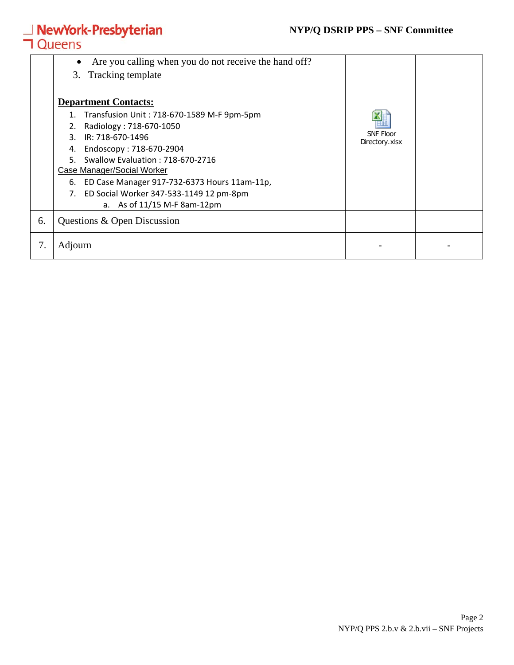#### **NYP/Q DSRIP PPS – SNF Committee**

# **△ NewYork-Presbyterian**<br>**コ** Queens

|    | Are you calling when you do not receive the hand off?<br>3. Tracking template                                                                                                                                                                                                                                                                                                          |                                    |  |
|----|----------------------------------------------------------------------------------------------------------------------------------------------------------------------------------------------------------------------------------------------------------------------------------------------------------------------------------------------------------------------------------------|------------------------------------|--|
|    | <b>Department Contacts:</b><br>1. Transfusion Unit: 718-670-1589 M-F 9pm-5pm<br>Radiology: 718-670-1050<br>2.<br>IR: 718-670-1496<br>3.<br>Endoscopy: 718-670-2904<br>4.<br>Swallow Evaluation: 718-670-2716<br>5.<br>Case Manager/Social Worker<br>ED Case Manager 917-732-6373 Hours 11am-11p,<br>6.<br>ED Social Worker 347-533-1149 12 pm-8pm<br>7.<br>a. As of 11/15 M-F 8am-12pm | <b>SNF Floor</b><br>Directory.xlsx |  |
| 6. | Questions & Open Discussion                                                                                                                                                                                                                                                                                                                                                            |                                    |  |
| 7. | Adjourn                                                                                                                                                                                                                                                                                                                                                                                |                                    |  |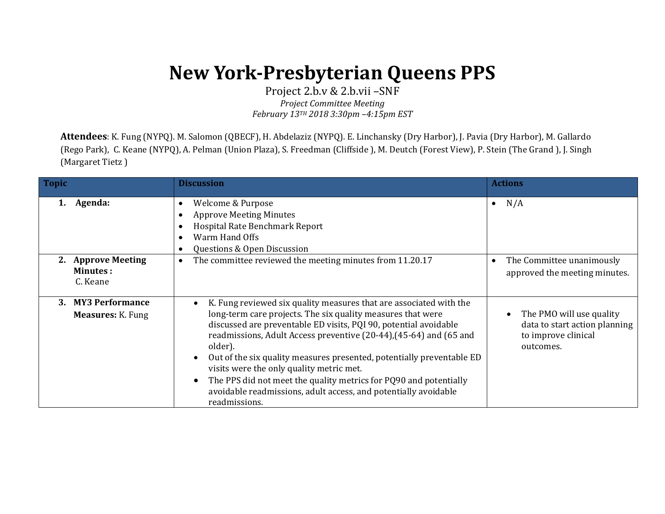## **New York-Presbyterian Queens PPS**

Project 2.b.v & 2.b.vii –SNF *Project Committee Meeting February 13TH 2018 3:30pm –4:15pm EST*

**Attendees**: K. Fung (NYPQ). M. Salomon (QBECF), H. Abdelaziz (NYPQ). E. Linchansky (Dry Harbor), J. Pavia (Dry Harbor), M. Gallardo (Rego Park), C. Keane (NYPQ), A. Pelman (Union Plaza), S. Freedman (Cliffside ), M. Deutch (Forest View), P. Stein (The Grand ), J. Singh (Margaret Tietz )

| <b>Topic</b> |                                             | <b>Discussion</b>                                                                                                                                                                                                                                                                                                                                                                                                                                                                                                                                                    | <b>Actions</b>                                                                                |
|--------------|---------------------------------------------|----------------------------------------------------------------------------------------------------------------------------------------------------------------------------------------------------------------------------------------------------------------------------------------------------------------------------------------------------------------------------------------------------------------------------------------------------------------------------------------------------------------------------------------------------------------------|-----------------------------------------------------------------------------------------------|
|              | Agenda:                                     | Welcome & Purpose<br><b>Approve Meeting Minutes</b><br>Hospital Rate Benchmark Report<br>Warm Hand Offs<br>Questions & Open Discussion                                                                                                                                                                                                                                                                                                                                                                                                                               | N/A<br>$\bullet$                                                                              |
|              | 2. Approve Meeting<br>Minutes:<br>C. Keane  | The committee reviewed the meeting minutes from 11.20.17<br>$\bullet$                                                                                                                                                                                                                                                                                                                                                                                                                                                                                                | The Committee unanimously<br>approved the meeting minutes.                                    |
| 3.           | <b>MY3 Performance</b><br>Measures: K. Fung | K. Fung reviewed six quality measures that are associated with the<br>long-term care projects. The six quality measures that were<br>discussed are preventable ED visits, PQI 90, potential avoidable<br>readmissions, Adult Access preventive (20-44), (45-64) and (65 and<br>older).<br>Out of the six quality measures presented, potentially preventable ED<br>visits were the only quality metric met.<br>The PPS did not meet the quality metrics for PQ90 and potentially<br>avoidable readmissions, adult access, and potentially avoidable<br>readmissions. | The PMO will use quality<br>data to start action planning<br>to improve clinical<br>outcomes. |